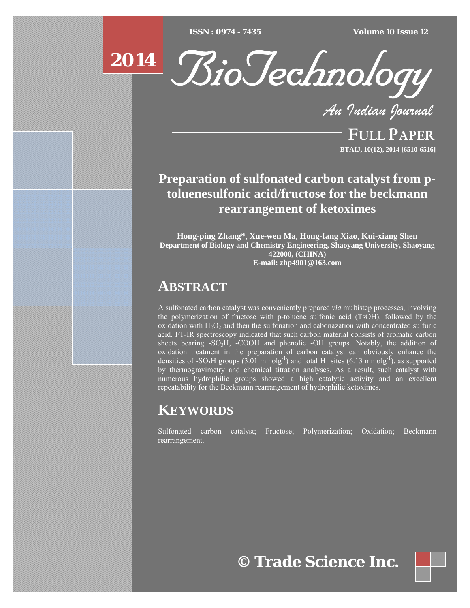$ISSN : 0974 - 7435$ 

*ISSN : 0974 - 7435 Volume 10 Issue 12*





*An Indian Journal*

FULL PAPER **BTAIJ, 10(12), 2014 [6510-6516]**

## **Preparation of sulfonated carbon catalyst from ptoluenesulfonic acid/fructose for the beckmann rearrangement of ketoximes**

**Hong-ping Zhang\*, Xue-wen Ma, Hong-fang Xiao, Kui-xiang Shen Department of Biology and Chemistry Engineering, Shaoyang University, Shaoyang 422000, (CHINA) E-mail: zhp4901@163.com**

### **ABSTRACT**

A sulfonated carbon catalyst was conveniently prepared *via* multistep processes, involving the polymerization of fructose with p-toluene sulfonic acid (TsOH), followed by the oxidation with  $H_2O_2$  and then the sulfonation and cabonazation with concentrated sulfuric acid. FT-IR spectroscopy indicated that such carbon material consists of aromatic carbon sheets bearing -SO<sub>3</sub>H, -COOH and phenolic -OH groups. Notably, the addition of oxidation treatment in the preparation of carbon catalyst can obviously enhance the densities of -SO<sub>3</sub>H groups  $(3.01 \text{ mmolg}^{-1})$  and total H<sup>+</sup> sites  $(6.13 \text{ mmolg}^{-1})$ , as supported by thermogravimetry and chemical titration analyses. As a result, such catalyst with numerous hydrophilic groups showed a high catalytic activity and an excellent repeatability for the Beckmann rearrangement of hydrophilic ketoximes.

# **KEYWORDS**

Sulfonated carbon catalyst; Fructose; Polymerization; Oxidation; Beckmann rearrangement.

**© Trade Science Inc.**

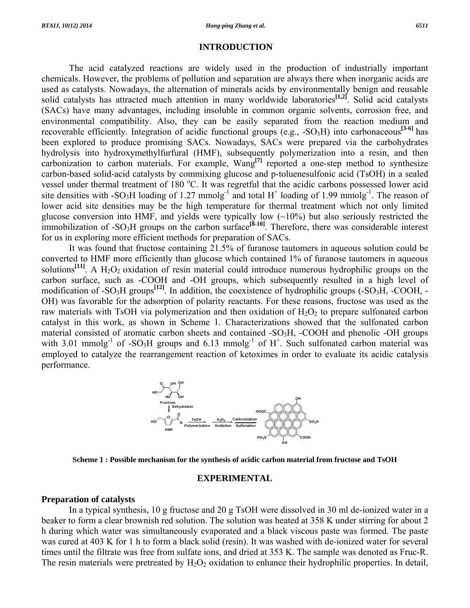#### **INTRODUCTION**

 The acid catalyzed reactions are widely used in the production of industrially important chemicals. However, the problems of pollution and separation are always there when inorganic acids are used as catalysts. Nowadays, the alternation of minerals acids by environmentally benign and reusable solid catalysts has attracted much attention in many worldwide laboratories**[1,2]**. Solid acid catalysts (SACs) have many advantages, including insoluble in common organic solvents, corrosion free, and environmental compatibility. Also, they can be easily separated from the reaction medium and recoverable efficiently. Integration of acidic functional groups (e.g.,  $-SO_3H$ ) into carbonaceous<sup>[3-6]</sup> has been explored to produce promising SACs. Nowadays, SACs were prepared via the carbohydrates hydrolysis into hydroxymethylfurfural (HMF), subsequently polymerization into a resin, and then carbonization to carbon materials. For example, Wang**[7]** reported a one-step method to synthesize carbon-based solid-acid catalysts by commixing glucose and p-toluenesulfonic acid (TsOH) in a sealed vessel under thermal treatment of 180 °C. It was regretful that the acidic carbons possessed lower acid site densities with -SO<sub>3</sub>H loading of 1.27 mmolg<sup>-1</sup> and total H<sup>+</sup> loading of 1.99 mmolg<sup>-1</sup>. The reason of lower acid site densities may be the high temperature for thermal treatment which not only limited glucose conversion into HMF, and yields were typically low (~10%) but also seriously restricted the immobilization of -SO<sub>3</sub>H groups on the carbon surface<sup>[8-10]</sup>. Therefore, there was considerable interest for us in exploring more efficient methods for preparation of SACs.

 It was found that fructose containing 21.5% of furanose tautomers in aqueous solution could be converted to HMF more efficiently than glucose which contained 1% of furanose tautomers in aqueous solutions<sup>[11]</sup>. A H<sub>2</sub>O<sub>2</sub> oxidation of resin material could introduce numerous hydrophilic groups on the carbon surface, such as -COOH and -OH groups, which subsequently resulted in a high level of modification of  $-SO_3H$  groups<sup>[12]</sup>. In addition, the coexistence of hydrophilic groups  $(-SO_3H, -COOH, -$ OH) was favorable for the adsorption of polarity reactants. For these reasons, fructose was used as the raw materials with TsOH via polymerization and then oxidation of  $H_2O_2$  to prepare sulfonated carbon catalyst in this work, as shown in Scheme 1. Characterizations showed that the sulfonated carbon material consisted of aromatic carbon sheets and contained  $-SO<sub>3</sub>H$ ,  $-COOH$  and phenolic  $-OH$  groups with 3.01 mmolg<sup>-1</sup> of -SO<sub>3</sub>H groups and 6.13 mmolg<sup>-1</sup> of  $H^+$ . Such sulfonated carbon material was employed to catalyze the rearrangement reaction of ketoximes in order to evaluate its acidic catalysis performance.



**Scheme 1 : Possible mechanism for the synthesis of acidic carbon material from fructose and TsOH** 

#### **EXPERIMENTAL**

#### **Preparation of catalysts**

 In a typical synthesis, 10 g fructose and 20 g TsOH were dissolved in 30 ml de-ionized water in a beaker to form a clear brownish red solution. The solution was heated at 358 K under stirring for about 2 h during which water was simultaneously evaporated and a black viscous paste was formed. The paste was cured at 403 K for 1 h to form a black solid (resin). It was washed with de-ionized water for several times until the filtrate was free from sulfate ions, and dried at 353 K. The sample was denoted as Fruc-R. The resin materials were pretreated by  $H_2O_2$  oxidation to enhance their hydrophilic properties. In detail,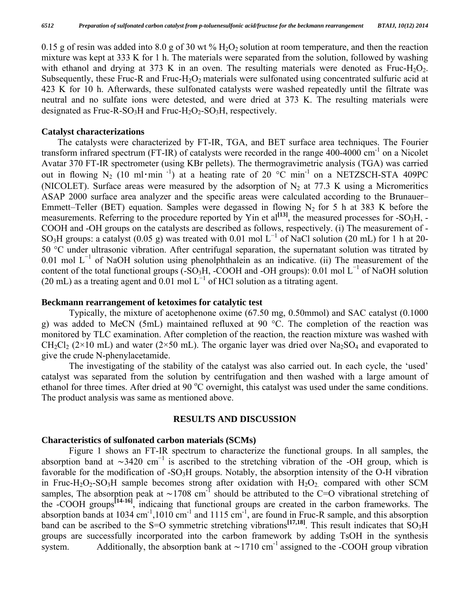0.15 g of resin was added into 8.0 g of 30 wt  $\%$  H<sub>2</sub>O<sub>2</sub> solution at room temperature, and then the reaction mixture was kept at 333 K for 1 h. The materials were separated from the solution, followed by washing with ethanol and drying at 373 K in an oven. The resulting materials were denoted as Fruc-H<sub>2</sub>O<sub>2</sub>. Subsequently, these Fruc-R and Fruc-H<sub>2</sub>O<sub>2</sub> materials were sulfonated using concentrated sulfuric acid at 423 K for 10 h. Afterwards, these sulfonated catalysts were washed repeatedly until the filtrate was neutral and no sulfate ions were detested, and were dried at 373 K. The resulting materials were designated as Fruc-R-SO<sub>3</sub>H and Fruc-H<sub>2</sub>O<sub>2</sub>-SO<sub>3</sub>H, respectively.

#### **Catalyst characterizations**

The catalysts were characterized by FT-IR, TGA, and BET surface area techniques. The Fourier transform infrared spectrum (FT-IR) of catalysts were recorded in the range 400-4000 cm<sup>-1</sup> on a Nicolet Avatar 370 FT-IR spectrometer (using KBr pellets). The thermogravimetric analysis (TGA) was carried out in flowing N<sub>2</sub> (10 ml·min<sup>-1</sup>) at a heating rate of 20  $^{\circ}$ C min<sup>-1</sup> on a NETZSCH-STA 409PC (NICOLET). Surface areas were measured by the adsorption of  $N_2$  at 77.3 K using a Micromeritics ASAP 2000 surface area analyzer and the specific areas were calculated according to the Brunauer– Emmett–Teller (BET) equation. Samples were degassed in flowing  $N_2$  for 5 h at 383 K before the measurements. Referring to the procedure reported by Yin et  $al^{[13]}$ , the measured processes for -SO<sub>3</sub>H, -COOH and -OH groups on the catalysts are described as follows, respectively. (i) The measurement of - SO<sub>3</sub>H groups: a catalyst (0.05 g) was treated with 0.01 mol L<sup>-1</sup> of NaCl solution (20 mL) for 1 h at 20-50 °C under ultrasonic vibration. After centrifugal separation, the supernatant solution was titrated by 0.01 mol  $L^{-1}$  of NaOH solution using phenolphthalein as an indicative. (ii) The measurement of the content of the total functional groups (-SO<sub>3</sub>H, -COOH and -OH groups): 0.01 mol L<sup>-1</sup> of NaOH solution (20 mL) as a treating agent and  $0.01$  mol  $L^{-1}$  of HCl solution as a titrating agent.

#### **Beckmann rearrangement of ketoximes for catalytic test**

 Typically, the mixture of acetophenone oxime (67.50 mg, 0.50mmol) and SAC catalyst (0.1000 g) was added to MeCN (5mL) maintained refluxed at 90 °C. The completion of the reaction was monitored by TLC examination. After completion of the reaction, the reaction mixture was washed with  $CH_2Cl_2$  (2×10 mL) and water (2×50 mL). The organic layer was dried over Na<sub>2</sub>SO<sub>4</sub> and evaporated to give the crude N-phenylacetamide.

 The investigating of the stability of the catalyst was also carried out. In each cycle, the 'used' catalyst was separated from the solution by centrifugation and then washed with a large amount of ethanol for three times. After dried at 90 °C overnight, this catalyst was used under the same conditions. The product analysis was same as mentioned above.

### **RESULTS AND DISCUSSION**

#### **Characteristics of sulfonated carbon materials (SCMs)**

 Figure 1 shows an FT-IR spectrum to characterize the functional groups. In all samples, the absorption band at  $\sim$ 3420 cm<sup>-1</sup> is ascribed to the stretching vibration of the -OH group, which is favorable for the modification of  $-SO<sub>3</sub>H$  groups. Notably, the absorption intensity of the O-H vibration in Fruc-H<sub>2</sub>O<sub>2</sub>-SO<sub>3</sub>H sample becomes strong after oxidation with  $H_2O_2$  compared with other SCM samples, The absorption peak at  $\sim$ 1708 cm<sup>-1</sup> should be attributed to the C=O vibrational stretching of the -COOH groups**[14-16]**, indicaing that functional groups are created in the carbon frameworks. The absorption bands at  $1034 \text{ cm}^{-1}$ ,  $1010 \text{ cm}^{-1}$  and  $1115 \text{ cm}^{-1}$ , are found in Fruc-R sample, and this absorption band can be ascribed to the S=O symmetric stretching vibrations<sup>[17,18]</sup>. This result indicates that  $SO_3H$ groups are successfully incorporated into the carbon framework by adding TsOH in the synthesis system. Additionally, the absorption bank at  $\sim$ 1710 cm<sup>-1</sup> assigned to the -COOH group vibration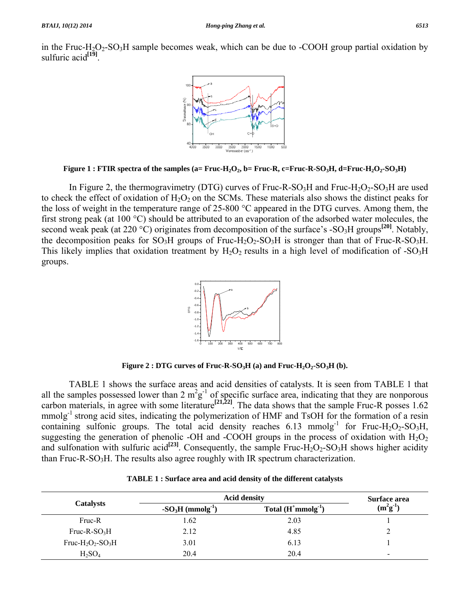in the Fruc-H<sub>2</sub>O<sub>2</sub>-SO<sub>3</sub>H sample becomes weak, which can be due to -COOH group partial oxidation by sulfuric acid<sup>[19]</sup>.



Figure 1 : FTIR spectra of the samples (a= Fruc-H<sub>2</sub>O<sub>2</sub>, b= Fruc-R, c=Fruc-R-SO<sub>3</sub>H, d=Fruc-H<sub>2</sub>O<sub>2</sub>-SO<sub>3</sub>H)

In Figure 2, the thermogravimetry (DTG) curves of Fruc-R-SO<sub>3</sub>H and Fruc-H<sub>2</sub>O<sub>2</sub>-SO<sub>3</sub>H are used to check the effect of oxidation of  $H_2O_2$  on the SCMs. These materials also shows the distinct peaks for the loss of weight in the temperature range of 25-800 °C appeared in the DTG curves. Among them, the first strong peak (at 100 °C) should be attributed to an evaporation of the adsorbed water molecules, the second weak peak (at 220 °C) originates from decomposition of the surface's -SO<sub>3</sub>H groups<sup>[20]</sup>. Notably, the decomposition peaks for  $SO_3H$  groups of Fruc-H<sub>2</sub>O<sub>2</sub>-SO<sub>3</sub>H is stronger than that of Fruc-R-SO<sub>3</sub>H. This likely implies that oxidation treatment by  $H_2O_2$  results in a high level of modification of -SO<sub>3</sub>H groups.



**Figure 2 : DTG curves of Fruc-R-SO<sub>3</sub>H (a) and Fruc-H<sub>2</sub>O<sub>2</sub>-SO<sub>3</sub>H (b).** 

 TABLE 1 shows the surface areas and acid densities of catalysts. It is seen from TABLE 1 that all the samples possessed lower than 2  $m^2g^{-1}$  of specific surface area, indicating that they are nonporous carbon materials, in agree with some literature<sup>[21,22]</sup>. The data shows that the sample Fruc-R posses  $1.62$ mmolg<sup>-1</sup> strong acid sites, indicating the polymerization of HMF and TsOH for the formation of a resin containing sulfonic groups. The total acid density reaches  $6.13 \text{ mmolg}^{-1}$  for Fruc-H<sub>2</sub>O<sub>2</sub>-SO<sub>3</sub>H, suggesting the generation of phenolic -OH and -COOH groups in the process of oxidation with  $H_2O_2$ and sulfonation with sulfuric acid<sup>[23]</sup>. Consequently, the sample Fruc-H<sub>2</sub>O<sub>2</sub>-SO<sub>3</sub>H shows higher acidity than Fruc-R-SO<sub>3</sub>H. The results also agree roughly with IR spectrum characterization.

|                                                       | <b>Acid density</b>            | Surface area                |            |  |
|-------------------------------------------------------|--------------------------------|-----------------------------|------------|--|
| <b>Catalysts</b>                                      | $-SO3H$ (mmolg <sup>-1</sup> ) | Total $(H^+$ mmolg $^{-1})$ | $(m^2g^1)$ |  |
| Fruc-R                                                | 1.62                           | 2.03                        |            |  |
| $Fruc-R-SO3H$                                         | 2.12                           | 4.85                        |            |  |
| Fruc-H <sub>2</sub> O <sub>2</sub> -SO <sub>3</sub> H | 3.01                           | 6.13                        |            |  |
| $H_2SO_4$                                             | 20.4                           | 20.4                        | -          |  |

|  | TABLE 1 : Surface area and acid density of the different catalysts |
|--|--------------------------------------------------------------------|
|--|--------------------------------------------------------------------|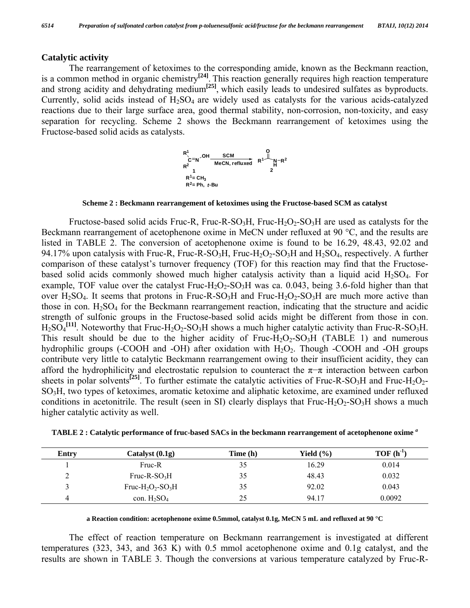#### **Catalytic activity**

 The rearrangement of ketoximes to the corresponding amide, known as the Beckmann reaction, is a common method in organic chemistry**[24]**. This reaction generally requires high reaction temperature and strong acidity and dehydrating medium**[25]**, which easily leads to undesired sulfates as byproducts. Currently, solid acids instead of  $H_2SO_4$  are widely used as catalysts for the various acids-catalyzed reactions due to their large surface area, good thermal stability, non-corrosion, non-toxicity, and easy separation for recycling. Scheme 2 shows the Beckmann rearrangement of ketoximes using the Fructose-based solid acids as catalysts.



**Scheme 2 : Beckmann rearrangement of ketoximes using the Fructose-based SCM as catalyst** 

Fructose-based solid acids Fruc-R, Fruc-R-SO<sub>3</sub>H, Fruc-H<sub>2</sub>O<sub>2</sub>-SO<sub>3</sub>H are used as catalysts for the Beckmann rearrangement of acetophenone oxime in MeCN under refluxed at 90 °C, and the results are listed in TABLE 2. The conversion of acetophenone oxime is found to be 16.29, 48.43, 92.02 and 94.17% upon catalysis with Fruc-R, Fruc-R-SO<sub>3</sub>H, Fruc-H<sub>2</sub>O<sub>2</sub>-SO<sub>3</sub>H and H<sub>2</sub>SO<sub>4</sub>, respectively. A further comparison of these catalyst's turnover frequency (TOF) for this reaction may find that the Fructosebased solid acids commonly showed much higher catalysis activity than a liquid acid H2SO4. For example, TOF value over the catalyst Fruc-H<sub>2</sub>O<sub>2</sub>-SO<sub>3</sub>H was ca. 0.043, being 3.6-fold higher than that over  $H_2SO_4$ . It seems that protons in Fruc-R-SO<sub>3</sub>H and Fruc-H<sub>2</sub>O<sub>2</sub>-SO<sub>3</sub>H are much more active than those in con.  $H_2SO_4$  for the Beckmann rearrangement reaction, indicating that the structure and acidic strength of sulfonic groups in the Fructose-based solid acids might be different from those in con.  $H_2SO_4^{[11]}$ . Noteworthy that Fruc-H<sub>2</sub>O<sub>2</sub>-SO<sub>3</sub>H shows a much higher catalytic activity than Fruc-R-SO<sub>3</sub>H. This result should be due to the higher acidity of  $Fruc-H<sub>2</sub>O<sub>2</sub>-SO<sub>3</sub>H$  (TABLE 1) and numerous hydrophilic groups (-COOH and -OH) after oxidation with  $H_2O_2$ . Though -COOH and -OH groups contribute very little to catalytic Beckmann rearrangement owing to their insufficient acidity, they can afford the hydrophilicity and electrostatic repulsion to counteract the  $\pi-\pi$  interaction between carbon sheets in polar solvents<sup>[25]</sup>. To further estimate the catalytic activities of Fruc-R-SO<sub>3</sub>H and Fruc-H<sub>2</sub>O<sub>2</sub>-SO3H, two types of ketoximes, aromatic ketoxime and aliphatic ketoxime, are examined under refluxed conditions in acetonitrile. The result (seen in SI) clearly displays that Fruc-H<sub>2</sub>O<sub>2</sub>-SO<sub>3</sub>H shows a much higher catalytic activity as well.

| Entry | Catalyst (0.1g)                   | Time (h) | Yield $(\% )$ | $TOF(h^{-1})$ |
|-------|-----------------------------------|----------|---------------|---------------|
|       | Fruc-R                            | 35       | 16.29         | 0.014         |
|       | $Fruc-R-SO3H$                     | 35       | 48.43         | 0.032         |
|       | Fruc- $H_2O_2$ -SO <sub>3</sub> H | 35       | 92.02         | 0.043         |
| 4     | con. $H_2SO_4$                    | 25       | 94.17         | 0.0092        |

**a Reaction condition: acetophenone oxime 0.5mmol, catalyst 0.1g, MeCN 5 mL and refluxed at 90 °C** 

 The effect of reaction temperature on Beckmann rearrangement is investigated at different temperatures (323, 343, and 363 K) with 0.5 mmol acetophenone oxime and 0.1g catalyst, and the results are shown in TABLE 3. Though the conversions at various temperature catalyzed by Fruc-R-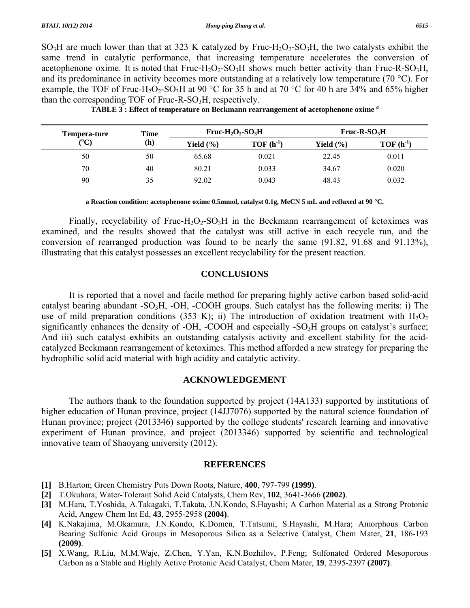$SO<sub>3</sub>H$  are much lower than that at 323 K catalyzed by Fruc-H<sub>2</sub>O<sub>2</sub>-SO<sub>3</sub>H, the two catalysts exhibit the same trend in catalytic performance, that increasing temperature accelerates the conversion of acetophenone oxime. It is noted that  $Fru - H<sub>2</sub>O<sub>2</sub>-SO<sub>3</sub>H$  shows much better activity than  $Fru - RSO<sub>3</sub>H$ , and its predominance in activity becomes more outstanding at a relatively low temperature (70 °C). For example, the TOF of Fruc-H<sub>2</sub>O<sub>2</sub>-SO<sub>3</sub>H at 90 °C for 35 h and at 70 °C for 40 h are 34% and 65% higher than the corresponding TOF of Fruc-R-SO<sub>3</sub>H, respectively.

| Tempera-ture<br>$(^{\circ}C)$ | Time | $Fruc-H2O2-SO3H$ |               | $Fruc-R-SO3H$ |               |
|-------------------------------|------|------------------|---------------|---------------|---------------|
|                               | (h)  | Yield $(\% )$    | $TOF(h^{-1})$ | Yield $(\% )$ | $TOF(h^{-1})$ |
| 50                            | 50   | 65.68            | 0.021         | 22.45         | 0.011         |
| 70                            | 40   | 80.21            | 0.033         | 34.67         | 0.020         |
| 90                            | 35   | 92.02            | 0.043         | 48.43         | 0.032         |

**TABLE 3 : Effect of temperature on Beckmann rearrangement of acetophenone oxime** *<sup>a</sup>*

**a Reaction condition: acetophenone oxime 0.5mmol, catalyst 0.1g, MeCN 5 mL and refluxed at 90 °C.** 

Finally, recyclability of Fruc-H<sub>2</sub>O<sub>2</sub>-SO<sub>3</sub>H in the Beckmann rearrangement of ketoximes was examined, and the results showed that the catalyst was still active in each recycle run, and the conversion of rearranged production was found to be nearly the same (91.82, 91.68 and 91.13%), illustrating that this catalyst possesses an excellent recyclability for the present reaction.

#### **CONCLUSIONS**

 It is reported that a novel and facile method for preparing highly active carbon based solid-acid catalyst bearing abundant -SO<sub>3</sub>H, -OH, -COOH groups. Such catalyst has the following merits: i) The use of mild preparation conditions (353 K); ii) The introduction of oxidation treatment with  $H_2O_2$ significantly enhances the density of -OH, -COOH and especially -SO<sub>3</sub>H groups on catalyst's surface; And iii) such catalyst exhibits an outstanding catalysis activity and excellent stability for the acidcatalyzed Beckmann rearrangement of ketoximes. This method afforded a new strategy for preparing the hydrophilic solid acid material with high acidity and catalytic activity.

#### **ACKNOWLEDGEMENT**

 The authors thank to the foundation supported by project (14A133) supported by institutions of higher education of Hunan province, project (14JJ7076) supported by the natural science foundation of Hunan province; project (2013346) supported by the college students' research learning and innovative experiment of Hunan province, and project (2013346) supported by scientific and technological innovative team of Shaoyang university (2012).

#### **REFERENCES**

- **[1]** B.Harton; Green Chemistry Puts Down Roots, Nature, **400**, 797-799 **(1999)**.
- **[2]** T.Okuhara; Water-Tolerant Solid Acid Catalysts, Chem Rev, **102**, 3641-3666 **(2002)**.
- **[3]** M.Hara, T.Yoshida, A.Takagaki, T.Takata, J.N.Kondo, S.Hayashi; A Carbon Material as a Strong Protonic Acid, Angew Chem Int Ed, **43**, 2955-2958 **(2004)**.
- **[4]** K.Nakajima, M.Okamura, J.N.Kondo, K.Domen, T.Tatsumi, S.Hayashi, M.Hara; Amorphous Carbon Bearing Sulfonic Acid Groups in Mesoporous Silica as a Selective Catalyst, Chem Mater, **21**, 186-193 **(2009)**.
- **[5]** X.Wang, R.Liu, M.M.Waje, Z.Chen, Y.Yan, K.N.Bozhilov, P.Feng; Sulfonated Ordered Mesoporous Carbon as a Stable and Highly Active Protonic Acid Catalyst, Chem Mater, **19**, 2395-2397 **(2007)**.